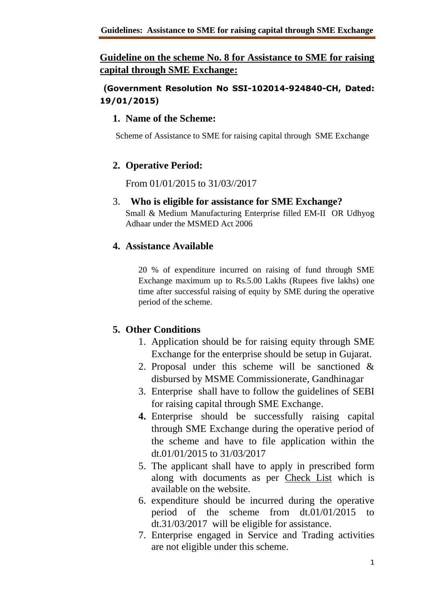# **Guideline on the scheme No. 8 for Assistance to SME for raising capital through SME Exchange:**

### **(Government Resolution No SSI-102014-924840-CH, Dated: 19/01/2015)**

#### **1. Name of the Scheme:**

Scheme of Assistance to SME for raising capital through SME Exchange

# **2. Operative Period:**

From 01/01/2015 to 31/03//2017

3. **Who is eligible for assistance for SME Exchange?**

Small & Medium Manufacturing Enterprise filled EM-II OR Udhyog Adhaar under the MSMED Act 2006

# **4. Assistance Available**

20 % of expenditure incurred on raising of fund through SME Exchange maximum up to Rs.5.00 Lakhs (Rupees five lakhs) one time after successful raising of equity by SME during the operative period of the scheme.

# **5. Other Conditions**

- 1. Application should be for raising equity through SME Exchange for the enterprise should be setup in Gujarat.
- 2. Proposal under this scheme will be sanctioned & disbursed by MSME Commissionerate, Gandhinagar
- 3. Enterprise shall have to follow the guidelines of SEBI for raising capital through SME Exchange.
- **4.** Enterprise should be successfully raising capital through SME Exchange during the operative period of the scheme and have to file application within the dt.01/01/2015 to 31/03/2017
- 5. The applicant shall have to apply in prescribed form along with documents as per Check List which is available on the website.
- 6. expenditure should be incurred during the operative period of the scheme from dt.01/01/2015 to dt.31/03/2017 will be eligible for assistance.
- 7. Enterprise engaged in Service and Trading activities are not eligible under this scheme.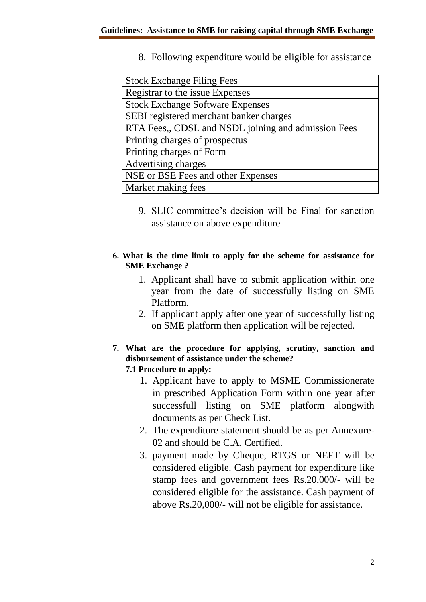8. Following expenditure would be eligible for assistance

| <b>Stock Exchange Filing Fees</b>                   |
|-----------------------------------------------------|
| Registrar to the issue Expenses                     |
| <b>Stock Exchange Software Expenses</b>             |
| SEBI registered merchant banker charges             |
| RTA Fees,, CDSL and NSDL joining and admission Fees |
| Printing charges of prospectus                      |
| Printing charges of Form                            |
| Advertising charges                                 |
| NSE or BSE Fees and other Expenses                  |
| Market making fees                                  |

- 9. SLIC committee's decision will be Final for sanction assistance on above expenditure
- **6. What is the time limit to apply for the scheme for assistance for SME Exchange ?**
	- 1. Applicant shall have to submit application within one year from the date of successfully listing on SME Platform.
	- 2. If applicant apply after one year of successfully listing on SME platform then application will be rejected.
- **7. What are the procedure for applying, scrutiny, sanction and disbursement of assistance under the scheme? 7.1 Procedure to apply:**
	- 1. Applicant have to apply to MSME Commissionerate in prescribed Application Form within one year after successfull listing on SME platform alongwith documents as per Check List.
	- 2. The expenditure statement should be as per Annexure-02 and should be C.A. Certified.
	- 3. payment made by Cheque, RTGS or NEFT will be considered eligible. Cash payment for expenditure like stamp fees and government fees Rs.20,000/- will be considered eligible for the assistance. Cash payment of above Rs.20,000/- will not be eligible for assistance.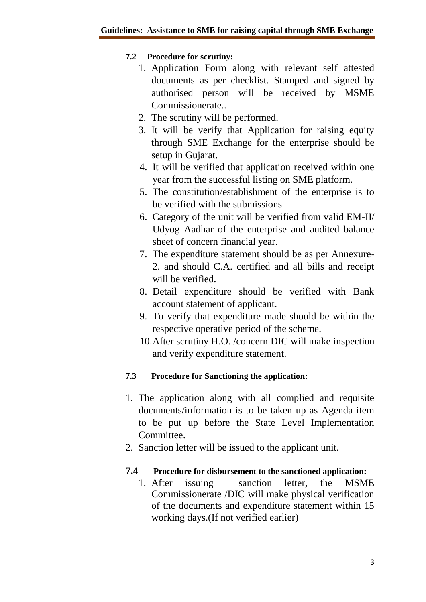#### **7.2 Procedure for scrutiny:**

- 1. Application Form along with relevant self attested documents as per checklist. Stamped and signed by authorised person will be received by MSME Commissionerate..
- 2. The scrutiny will be performed.
- 3. It will be verify that Application for raising equity through SME Exchange for the enterprise should be setup in Gujarat.
- 4. It will be verified that application received within one year from the successful listing on SME platform.
- 5. The constitution/establishment of the enterprise is to be verified with the submissions
- 6. Category of the unit will be verified from valid EM-II/ Udyog Aadhar of the enterprise and audited balance sheet of concern financial year.
- 7. The expenditure statement should be as per Annexure-2. and should C.A. certified and all bills and receipt will be verified.
- 8. Detail expenditure should be verified with Bank account statement of applicant.
- 9. To verify that expenditure made should be within the respective operative period of the scheme.
- 10.After scrutiny H.O. /concern DIC will make inspection and verify expenditure statement.

# **7.3 Procedure for Sanctioning the application:**

- 1. The application along with all complied and requisite documents/information is to be taken up as Agenda item to be put up before the State Level Implementation Committee.
- 2. Sanction letter will be issued to the applicant unit.

# **7.4 Procedure for disbursement to the sanctioned application:**

1. After issuing sanction letter, the MSME Commissionerate /DIC will make physical verification of the documents and expenditure statement within 15 working days.(If not verified earlier)